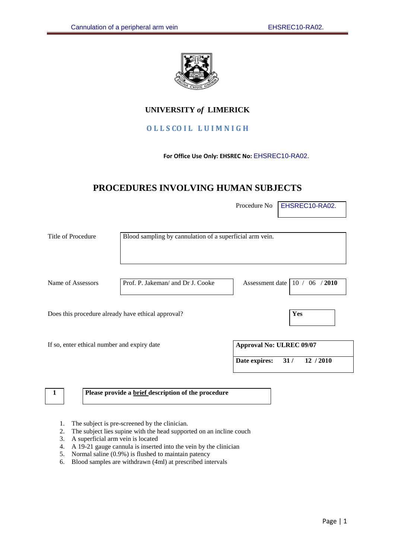

# **UNIVERSITY** *of* **LIMERICK**

# **O L L S CO I L L U I M N I G H**

## **For Office Use Only: EHSREC No:** EHSREC10-RA02.

# **PROCEDURES INVOLVING HUMAN SUBJECTS**

Procedure No **EHSREC10-RA02.** 

| Title of Procedure                                 | Blood sampling by cannulation of a superficial arm vein. |                                 |                                      |
|----------------------------------------------------|----------------------------------------------------------|---------------------------------|--------------------------------------|
| Name of Assessors                                  | Prof. P. Jakeman/ and Dr J. Cooke                        |                                 | Assessment date   10 $/$ 06 $/$ 2010 |
| Does this procedure already have ethical approval? |                                                          |                                 | <b>Yes</b>                           |
| If so, enter ethical number and expiry date        |                                                          | <b>Approval No: ULREC 09/07</b> |                                      |
|                                                    |                                                          | 31/<br>Date expires:            | 12 / 2010                            |

**1 Please provide a brief description of the procedure**

- 1. The subject is pre-screened by the clinician.
- 2. The subject lies supine with the head supported on an incline couch
- 3. A superficial arm vein is located
- 4. A 19-21 gauge cannula is inserted into the vein by the clinician
- 5. Normal saline (0.9%) is flushed to maintain patency
- 6. Blood samples are withdrawn (4ml) at prescribed intervals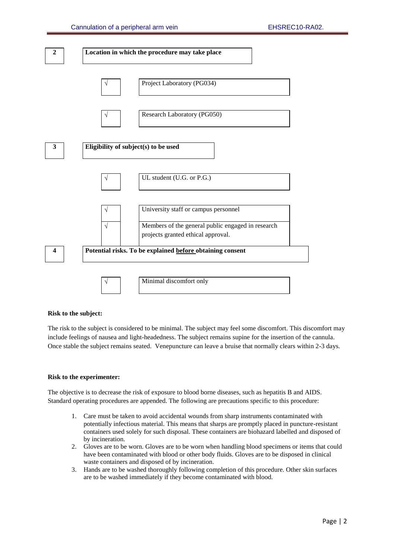

#### **Risk to the subject:**

The risk to the subject is considered to be minimal. The subject may feel some discomfort. This discomfort may include feelings of nausea and light-headedness. The subject remains supine for the insertion of the cannula. Once stable the subject remains seated. Venepuncture can leave a bruise that normally clears within 2-3 days.

#### **Risk to the experimenter:**

The objective is to decrease the risk of exposure to blood borne diseases, such as hepatitis B and AIDS. Standard operating procedures are appended. The following are precautions specific to this procedure:

- 1. Care must be taken to avoid accidental wounds from sharp instruments contaminated with potentially infectious material. This means that sharps are promptly placed in puncture-resistant containers used solely for such disposal. These containers are biohazard labelled and disposed of by incineration.
- 2. Gloves are to be worn. Gloves are to be worn when handling blood specimens or items that could have been contaminated with blood or other body fluids. Gloves are to be disposed in clinical waste containers and disposed of by incineration.
- 3. Hands are to be washed thoroughly following completion of this procedure. Other skin surfaces are to be washed immediately if they become contaminated with blood.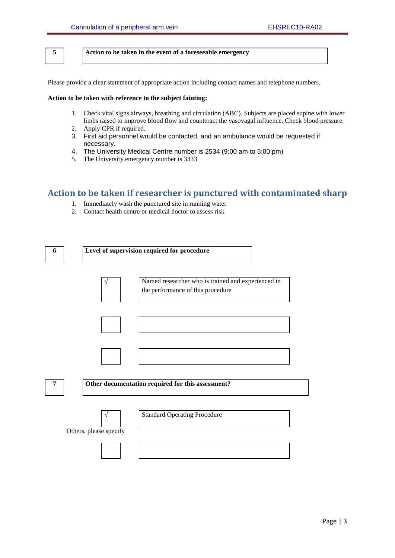**5 Action to be taken in the event of a foreseeable emergency**

Please provide a clear statement of appropriate action including contact names and telephone numbers.

#### **Action to be taken with reference to the subject fainting:**

- 1. Check vital signs airways, breathing and circulation (ABC). Subjects are placed supine with lower limbs raised to improve blood flow and counteract the vasovagal influence. Check blood pressure.
- 2. Apply CPR if required.
- 3. First aid personnel would be contacted, and an ambulance would be requested if necessary.
- 4. The University Medical Centre number is 2534 (9:00 am to 5:00 pm)
- 5. The University emergency number is 3333

# **Action to be taken if researcher is punctured with contaminated sharp**

- 1. Immediately wash the punctured site in running water
- 2. Contact health centre or medical doctor to assess risk

| 6 | Level of supervision required for procedure                                                  |
|---|----------------------------------------------------------------------------------------------|
|   | Named researcher who is trained and experienced in<br>V<br>the performance of this procedure |
|   |                                                                                              |
|   |                                                                                              |
| 7 | Other documentation required for this assessment?                                            |
|   | <b>Standard Operating Procedure</b><br>V<br>Others, please specify                           |
|   |                                                                                              |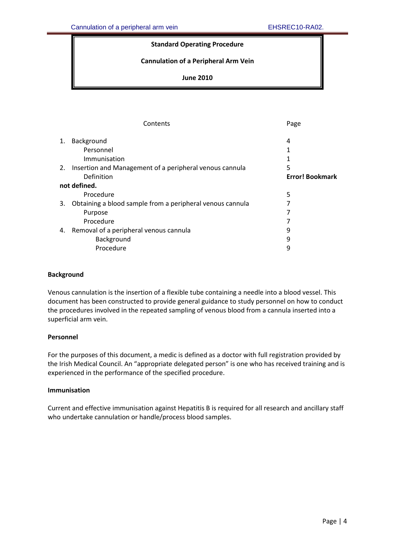# **Standard Operating Procedure**

# **Cannulation of a Peripheral Arm Vein**

# **June 2010**

| 4                      |  |
|------------------------|--|
|                        |  |
|                        |  |
|                        |  |
| <b>Error! Bookmark</b> |  |
|                        |  |
|                        |  |
|                        |  |
|                        |  |
|                        |  |
|                        |  |
|                        |  |
|                        |  |
|                        |  |

### <span id="page-3-0"></span>**Background**

Venous cannulation is the insertion of a flexible tube containing a needle into a blood vessel. This document has been constructed to provide general guidance to study personnel on how to conduct the procedures involved in the repeated sampling of venous blood from a cannula inserted into a superficial arm vein.

### **Personnel**

For the purposes of this document, a medic is defined as a doctor with full registration provided by the Irish Medical Council. An "appropriate delegated person" is one who has received training and is experienced in the performance of the specified procedure.

## **Immunisation**

Current and effective immunisation against Hepatitis B is required for all research and ancillary staff who undertake cannulation or handle/process blood samples.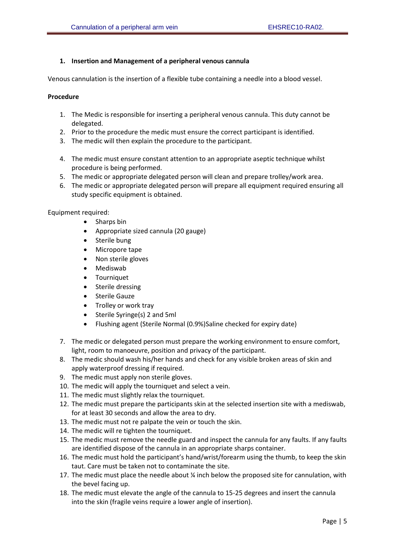# <span id="page-4-0"></span>**1. Insertion and Management of a peripheral venous cannula**

Venous cannulation is the insertion of a flexible tube containing a needle into a blood vessel.

## <span id="page-4-1"></span>**Procedure**

- 1. The Medic is responsible for inserting a peripheral venous cannula. This duty cannot be delegated.
- 2. Prior to the procedure the medic must ensure the correct participant is identified.
- 3. The medic will then explain the procedure to the participant.
- 4. The medic must ensure constant attention to an appropriate aseptic technique whilst procedure is being performed.
- 5. The medic or appropriate delegated person will clean and prepare trolley/work area.
- 6. The medic or appropriate delegated person will prepare all equipment required ensuring all study specific equipment is obtained.

Equipment required:

- Sharps bin
- Appropriate sized cannula (20 gauge)
- Sterile bung
- Micropore tape
- Non sterile gloves
- Mediswab
- Tourniquet
- Sterile dressing
- **•** Sterile Gauze
- Trolley or work tray
- Sterile Syringe(s) 2 and 5ml
- Flushing agent (Sterile Normal (0.9%)Saline checked for expiry date)
- 7. The medic or delegated person must prepare the working environment to ensure comfort, light, room to manoeuvre, position and privacy of the participant.
- 8. The medic should wash his/her hands and check for any visible broken areas of skin and apply waterproof dressing if required.
- 9. The medic must apply non sterile gloves.
- 10. The medic will apply the tourniquet and select a vein.
- 11. The medic must slightly relax the tourniquet.
- 12. The medic must prepare the participants skin at the selected insertion site with a mediswab, for at least 30 seconds and allow the area to dry.
- 13. The medic must not re palpate the vein or touch the skin.
- 14. The medic will re tighten the tourniquet.
- 15. The medic must remove the needle guard and inspect the cannula for any faults. If any faults are identified dispose of the cannula in an appropriate sharps container.
- 16. The medic must hold the participant's hand/wrist/forearm using the thumb, to keep the skin taut. Care must be taken not to contaminate the site.
- 17. The medic must place the needle about ¼ inch below the proposed site for cannulation, with the bevel facing up.
- 18. The medic must elevate the angle of the cannula to 15-25 degrees and insert the cannula into the skin (fragile veins require a lower angle of insertion).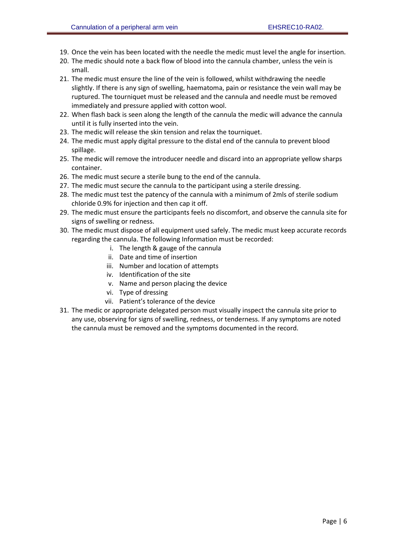- 19. Once the vein has been located with the needle the medic must level the angle for insertion.
- 20. The medic should note a back flow of blood into the cannula chamber, unless the vein is small.
- 21. The medic must ensure the line of the vein is followed, whilst withdrawing the needle slightly. If there is any sign of swelling, haematoma, pain or resistance the vein wall may be ruptured. The tourniquet must be released and the cannula and needle must be removed immediately and pressure applied with cotton wool.
- 22. When flash back is seen along the length of the cannula the medic will advance the cannula until it is fully inserted into the vein.
- 23. The medic will release the skin tension and relax the tourniquet.
- 24. The medic must apply digital pressure to the distal end of the cannula to prevent blood spillage.
- 25. The medic will remove the introducer needle and discard into an appropriate yellow sharps container.
- 26. The medic must secure a sterile bung to the end of the cannula.
- 27. The medic must secure the cannula to the participant using a sterile dressing.
- 28. The medic must test the patency of the cannula with a minimum of 2mls of sterile sodium chloride 0.9% for injection and then cap it off.
- 29. The medic must ensure the participants feels no discomfort, and observe the cannula site for signs of swelling or redness.
- 30. The medic must dispose of all equipment used safely. The medic must keep accurate records regarding the cannula. The following Information must be recorded:
	- i. The length & gauge of the cannula
	- ii. Date and time of insertion
	- iii. Number and location of attempts
	- iv. Identification of the site
	- v. Name and person placing the device
	- vi. Type of dressing
	- vii. Patient's tolerance of the device
- 31. The medic or appropriate delegated person must visually inspect the cannula site prior to any use, observing for signs of swelling, redness, or tenderness. If any symptoms are noted the cannula must be removed and the symptoms documented in the record.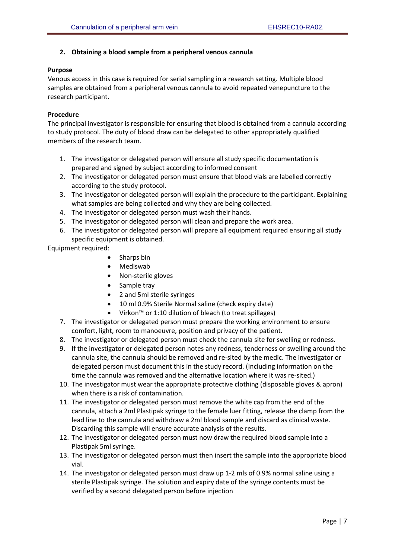# <span id="page-6-0"></span>**2. Obtaining a blood sample from a peripheral venous cannula**

# <span id="page-6-1"></span>**Purpose**

<span id="page-6-2"></span>Venous access in this case is required for serial sampling in a research setting. Multiple blood samples are obtained from a peripheral venous cannula to avoid repeated venepuncture to the research participant.

# **Procedure**

The principal investigator is responsible for ensuring that blood is obtained from a cannula according to study protocol. The duty of blood draw can be delegated to other appropriately qualified members of the research team.

- 1. The investigator or delegated person will ensure all study specific documentation is prepared and signed by subject according to informed consent
- 2. The investigator or delegated person must ensure that blood vials are labelled correctly according to the study protocol.
- 3. The investigator or delegated person will explain the procedure to the participant. Explaining what samples are being collected and why they are being collected.
- 4. The investigator or delegated person must wash their hands.
- 5. The investigator or delegated person will clean and prepare the work area.
- 6. The investigator or delegated person will prepare all equipment required ensuring all study specific equipment is obtained.

Equipment required:

- Sharps bin
- Mediswab
- Non-sterile gloves
- Sample tray
- 2 and 5ml sterile syringes
- 10 ml 0.9% Sterile Normal saline (check expiry date)
- Virkon™ or 1:10 dilution of bleach (to treat spillages)
- 7. The investigator or delegated person must prepare the working environment to ensure comfort, light, room to manoeuvre, position and privacy of the patient.
- 8. The investigator or delegated person must check the cannula site for swelling or redness.
- 9. If the investigator or delegated person notes any redness, tenderness or swelling around the cannula site, the cannula should be removed and re-sited by the medic. The investigator or delegated person must document this in the study record. (Including information on the time the cannula was removed and the alternative location where it was re-sited.)
- 10. The investigator must wear the appropriate protective clothing (disposable gloves & apron) when there is a risk of contamination.
- 11. The investigator or delegated person must remove the white cap from the end of the cannula, attach a 2ml Plastipak syringe to the female luer fitting, release the clamp from the lead line to the cannula and withdraw a 2ml blood sample and discard as clinical waste. Discarding this sample will ensure accurate analysis of the results.
- 12. The investigator or delegated person must now draw the required blood sample into a Plastipak 5ml syringe.
- 13. The investigator or delegated person must then insert the sample into the appropriate blood vial.
- 14. The investigator or delegated person must draw up 1-2 mls of 0.9% normal saline using a sterile Plastipak syringe. The solution and expiry date of the syringe contents must be verified by a second delegated person before injection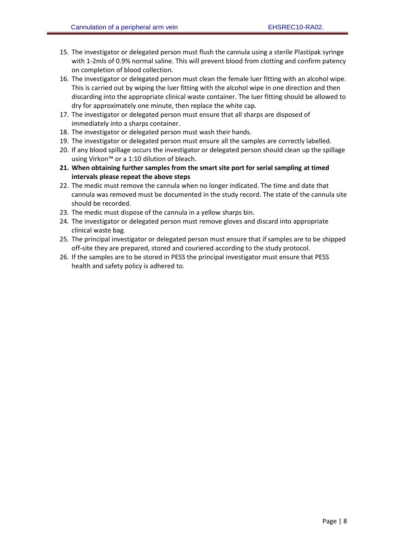- 15. The investigator or delegated person must flush the cannula using a sterile Plastipak syringe with 1-2mls of 0.9% normal saline. This will prevent blood from clotting and confirm patency on completion of blood collection.
- 16. The investigator or delegated person must clean the female luer fitting with an alcohol wipe. This is carried out by wiping the luer fitting with the alcohol wipe in one direction and then discarding into the appropriate clinical waste container. The luer fitting should be allowed to dry for approximately one minute, then replace the white cap.
- 17. The investigator or delegated person must ensure that all sharps are disposed of immediately into a sharps container.
- 18. The investigator or delegated person must wash their hands.
- 19. The investigator or delegated person must ensure all the samples are correctly labelled.
- 20. If any blood spillage occurs the investigator or delegated person should clean up the spillage using Virkon™ or a 1:10 dilution of bleach.
- **21. When obtaining further samples from the smart site port for serial sampling at timed intervals please repeat the above steps**
- 22. The medic must remove the cannula when no longer indicated. The time and date that cannula was removed must be documented in the study record. The state of the cannula site should be recorded.
- 23. The medic must dispose of the cannula in a yellow sharps bin.
- 24. The investigator or delegated person must remove gloves and discard into appropriate clinical waste bag.
- 25. The principal investigator or delegated person must ensure that if samples are to be shipped off-site they are prepared, stored and couriered according to the study protocol.
- 26. If the samples are to be stored in PESS the principal investigator must ensure that PESS health and safety policy is adhered to.